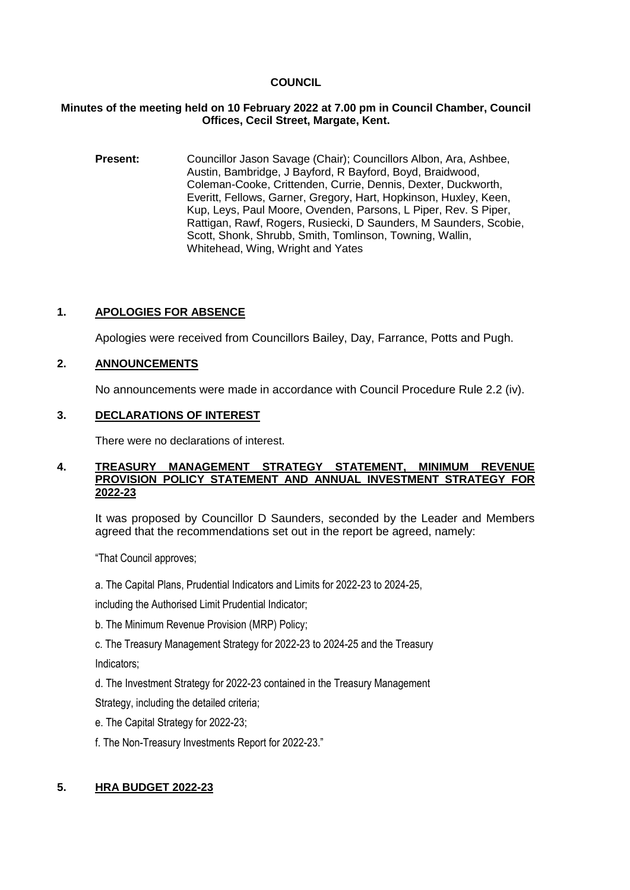## **COUNCIL**

### **Minutes of the meeting held on 10 February 2022 at 7.00 pm in Council Chamber, Council Offices, Cecil Street, Margate, Kent.**

**Present:** Councillor Jason Savage (Chair); Councillors Albon, Ara, Ashbee, Austin, Bambridge, J Bayford, R Bayford, Boyd, Braidwood, Coleman-Cooke, Crittenden, Currie, Dennis, Dexter, Duckworth, Everitt, Fellows, Garner, Gregory, Hart, Hopkinson, Huxley, Keen, Kup, Leys, Paul Moore, Ovenden, Parsons, L Piper, Rev. S Piper, Rattigan, Rawf, Rogers, Rusiecki, D Saunders, M Saunders, Scobie, Scott, Shonk, Shrubb, Smith, Tomlinson, Towning, Wallin, Whitehead, Wing, Wright and Yates

# **1. APOLOGIES FOR ABSENCE**

Apologies were received from Councillors Bailey, Day, Farrance, Potts and Pugh.

# **2. ANNOUNCEMENTS**

No announcements were made in accordance with Council Procedure Rule 2.2 (iv).

## **3. DECLARATIONS OF INTEREST**

There were no declarations of interest.

#### **4. TREASURY MANAGEMENT STRATEGY STATEMENT, MINIMUM REVENUE PROVISION POLICY STATEMENT AND ANNUAL INVESTMENT STRATEGY FOR 2022-23**

It was proposed by Councillor D Saunders, seconded by the Leader and Members agreed that the recommendations set out in the report be agreed, namely:

"That Council approves;

a. The Capital Plans, Prudential Indicators and Limits for 2022-23 to 2024-25,

including the Authorised Limit Prudential Indicator;

- b. The Minimum Revenue Provision (MRP) Policy;
- c. The Treasury Management Strategy for 2022-23 to 2024-25 and the Treasury

Indicators;

d. The Investment Strategy for 2022-23 contained in the Treasury Management

Strategy, including the detailed criteria;

- e. The Capital Strategy for 2022-23;
- f. The Non-Treasury Investments Report for 2022-23."

# **5. HRA BUDGET 2022-23**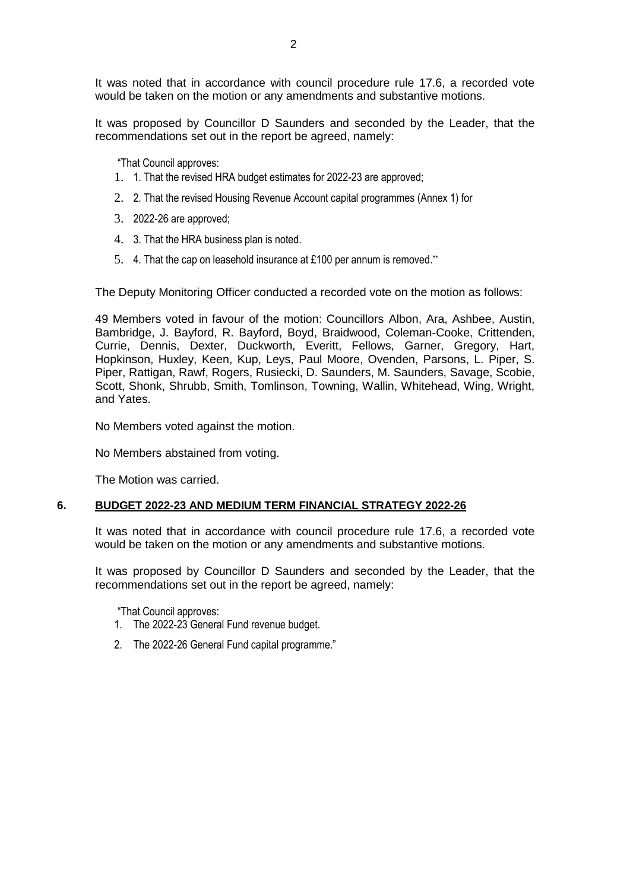It was noted that in accordance with council procedure rule 17.6, a recorded vote would be taken on the motion or any amendments and substantive motions.

It was proposed by Councillor D Saunders and seconded by the Leader, that the recommendations set out in the report be agreed, namely:

"That Council approves:

- 1. 1. That the revised HRA budget estimates for 2022-23 are approved;
- 2. 2. That the revised Housing Revenue Account capital programmes (Annex 1) for
- 3. 2022-26 are approved;
- 4. 3. That the HRA business plan is noted.
- 5. 4. That the cap on leasehold insurance at £100 per annum is removed."

The Deputy Monitoring Officer conducted a recorded vote on the motion as follows:

49 Members voted in favour of the motion: Councillors Albon, Ara, Ashbee, Austin, Bambridge, J. Bayford, R. Bayford, Boyd, Braidwood, Coleman-Cooke, Crittenden, Currie, Dennis, Dexter, Duckworth, Everitt, Fellows, Garner, Gregory, Hart, Hopkinson, Huxley, Keen, Kup, Leys, Paul Moore, Ovenden, Parsons, L. Piper, S. Piper, Rattigan, Rawf, Rogers, Rusiecki, D. Saunders, M. Saunders, Savage, Scobie, Scott, Shonk, Shrubb, Smith, Tomlinson, Towning, Wallin, Whitehead, Wing, Wright, and Yates.

No Members voted against the motion.

No Members abstained from voting.

The Motion was carried.

#### **6. BUDGET 2022-23 AND MEDIUM TERM FINANCIAL STRATEGY 2022-26**

It was noted that in accordance with council procedure rule 17.6, a recorded vote would be taken on the motion or any amendments and substantive motions.

It was proposed by Councillor D Saunders and seconded by the Leader, that the recommendations set out in the report be agreed, namely:

"That Council approves:

- 1. The 2022-23 General Fund revenue budget.
- 2. The 2022-26 General Fund capital programme."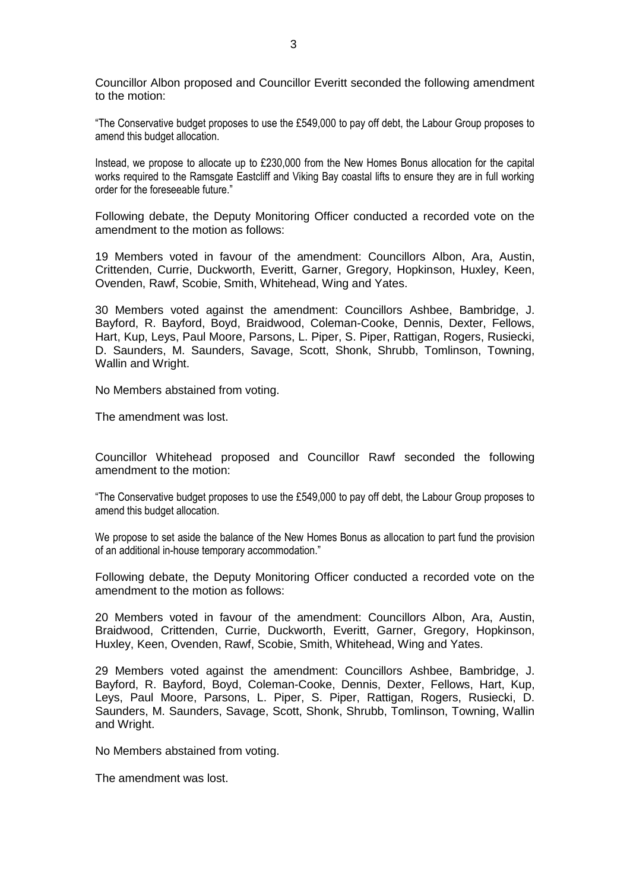Councillor Albon proposed and Councillor Everitt seconded the following amendment to the motion:

"The Conservative budget proposes to use the £549,000 to pay off debt, the Labour Group proposes to amend this budget allocation.

Instead, we propose to allocate up to £230,000 from the New Homes Bonus allocation for the capital works required to the Ramsgate Eastcliff and Viking Bay coastal lifts to ensure they are in full working order for the foreseeable future."

Following debate, the Deputy Monitoring Officer conducted a recorded vote on the amendment to the motion as follows:

19 Members voted in favour of the amendment: Councillors Albon, Ara, Austin, Crittenden, Currie, Duckworth, Everitt, Garner, Gregory, Hopkinson, Huxley, Keen, Ovenden, Rawf, Scobie, Smith, Whitehead, Wing and Yates.

30 Members voted against the amendment: Councillors Ashbee, Bambridge, J. Bayford, R. Bayford, Boyd, Braidwood, Coleman-Cooke, Dennis, Dexter, Fellows, Hart, Kup, Leys, Paul Moore, Parsons, L. Piper, S. Piper, Rattigan, Rogers, Rusiecki, D. Saunders, M. Saunders, Savage, Scott, Shonk, Shrubb, Tomlinson, Towning, Wallin and Wright.

No Members abstained from voting.

The amendment was lost.

Councillor Whitehead proposed and Councillor Rawf seconded the following amendment to the motion:

"The Conservative budget proposes to use the £549,000 to pay off debt, the Labour Group proposes to amend this budget allocation.

We propose to set aside the balance of the New Homes Bonus as allocation to part fund the provision of an additional in-house temporary accommodation."

Following debate, the Deputy Monitoring Officer conducted a recorded vote on the amendment to the motion as follows:

20 Members voted in favour of the amendment: Councillors Albon, Ara, Austin, Braidwood, Crittenden, Currie, Duckworth, Everitt, Garner, Gregory, Hopkinson, Huxley, Keen, Ovenden, Rawf, Scobie, Smith, Whitehead, Wing and Yates.

29 Members voted against the amendment: Councillors Ashbee, Bambridge, J. Bayford, R. Bayford, Boyd, Coleman-Cooke, Dennis, Dexter, Fellows, Hart, Kup, Leys, Paul Moore, Parsons, L. Piper, S. Piper, Rattigan, Rogers, Rusiecki, D. Saunders, M. Saunders, Savage, Scott, Shonk, Shrubb, Tomlinson, Towning, Wallin and Wright.

No Members abstained from voting.

The amendment was lost.